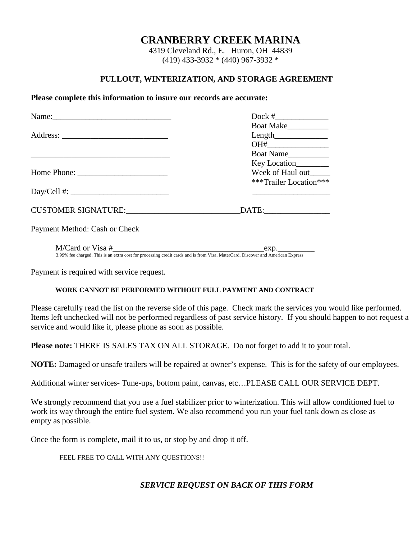# **CRANBERRY CREEK MARINA**

4319 Cleveland Rd., E. Huron, OH 44839 (419) 433-3932 \* (440) 967-3932 \*

### **PULLOUT, WINTERIZATION, AND STORAGE AGREEMENT**

#### **Please complete this information to insure our records are accurate:**

|                               | Boat Make___________   |  |  |
|-------------------------------|------------------------|--|--|
|                               |                        |  |  |
|                               |                        |  |  |
|                               | Boat Name              |  |  |
|                               | Key Location_________  |  |  |
|                               | Week of Haul out       |  |  |
|                               | ***Trailer Location*** |  |  |
|                               |                        |  |  |
|                               |                        |  |  |
| Payment Method: Cash or Check |                        |  |  |
| M/Card or Visa #              | exp.                   |  |  |

3.99% fee charged. This is an extra cost for processing credit cards and is from Visa, MaterCard, Discover and American Express

Payment is required with service request.

#### **WORK CANNOT BE PERFORMED WITHOUT FULL PAYMENT AND CONTRACT**

Please carefully read the list on the reverse side of this page. Check mark the services you would like performed. Items left unchecked will not be performed regardless of past service history. If you should happen to not request a service and would like it, please phone as soon as possible.

**Please note:** THERE IS SALES TAX ON ALL STORAGE. Do not forget to add it to your total.

**NOTE:** Damaged or unsafe trailers will be repaired at owner's expense. This is for the safety of our employees.

Additional winter services- Tune-ups, bottom paint, canvas, etc…PLEASE CALL OUR SERVICE DEPT.

We strongly recommend that you use a fuel stabilizer prior to winterization. This will allow conditioned fuel to work its way through the entire fuel system. We also recommend you run your fuel tank down as close as empty as possible.

Once the form is complete, mail it to us, or stop by and drop it off.

FEEL FREE TO CALL WITH ANY QUESTIONS!!

# *SERVICE REQUEST ON BACK OF THIS FORM*